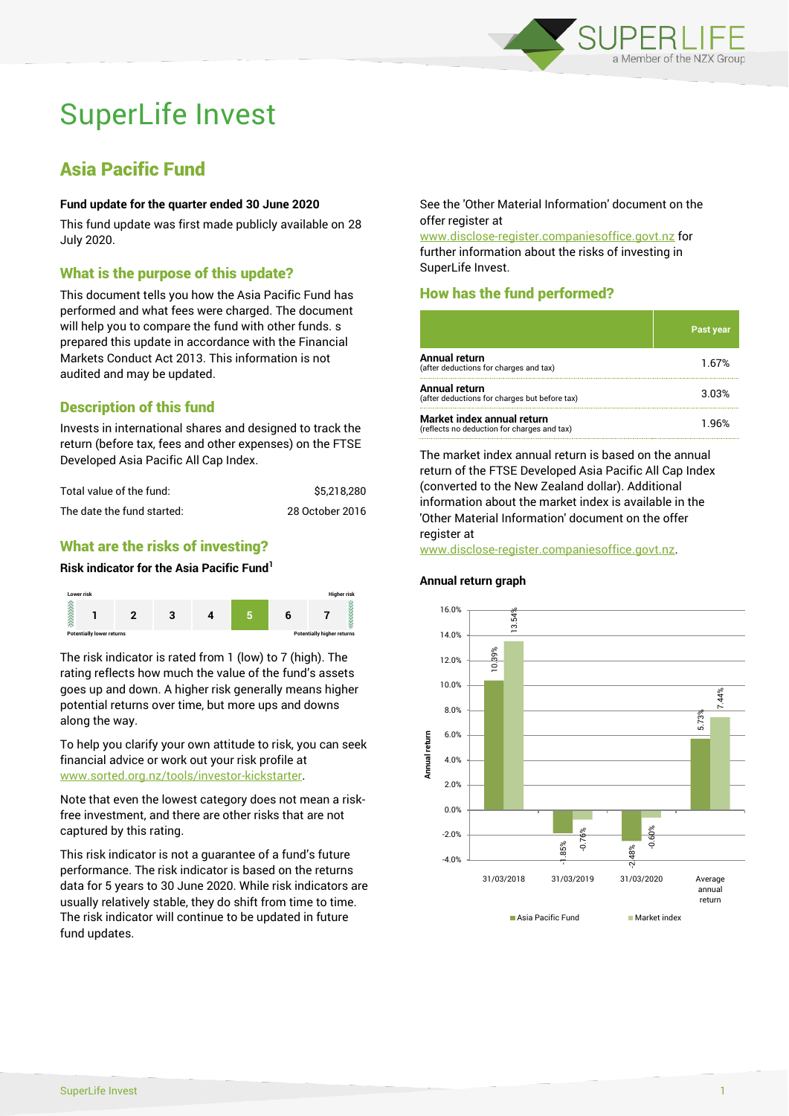

# SuperLife Invest

# Asia Pacific Fund

## **Fund update for the quarter ended 30 June 2020**

This fund update was first made publicly available on 28 July 2020.

# What is the purpose of this update?

This document tells you how the Asia Pacific Fund has performed and what fees were charged. The document will help you to compare the fund with other funds. s prepared this update in accordance with the Financial Markets Conduct Act 2013. This information is not audited and may be updated.

# Description of this fund

Invests in international shares and designed to track the return (before tax, fees and other expenses) on the FTSE Developed Asia Pacific All Cap Index.

| Total value of the fund:   | \$5.218.280     |
|----------------------------|-----------------|
| The date the fund started: | 28 October 2016 |

# What are the risks of investing?

#### **Risk indicator for the Asia Pacific Fund<sup>1</sup>**



The risk indicator is rated from 1 (low) to 7 (high). The rating reflects how much the value of the fund's assets goes up and down. A higher risk generally means higher potential returns over time, but more ups and downs along the way.

To help you clarify your own attitude to risk, you can seek financial advice or work out your risk profile at [www.sorted.org.nz/tools/investor-kickstarter.](http://www.sorted.org.nz/tools/investor-kickstarter)

Note that even the lowest category does not mean a riskfree investment, and there are other risks that are not captured by this rating.

This risk indicator is not a guarantee of a fund's future performance. The risk indicator is based on the returns data for 5 years to 30 June 2020. While risk indicators are usually relatively stable, they do shift from time to time. The risk indicator will continue to be updated in future fund updates.

See the 'Other Material Information' document on the offer register at

www.disclose-register.companiesoffice.govt.nz for further information about the risks of investing in SuperLife Invest.

# How has the fund performed?

|                                                                           | Past year |
|---------------------------------------------------------------------------|-----------|
| Annual return<br>(after deductions for charges and tax)                   | 1.67%     |
| Annual return<br>(after deductions for charges but before tax)            | 3.03%     |
| Market index annual return<br>(reflects no deduction for charges and tax) | 1 96%     |

The market index annual return is based on the annual return of the FTSE Developed Asia Pacific All Cap Index (converted to the New Zealand dollar). Additional information about the market index is available in the 'Other Material Information' document on the offer register at

#### www.disclose-register.companiesoffice.govt.nz.

#### **Annual return graph**

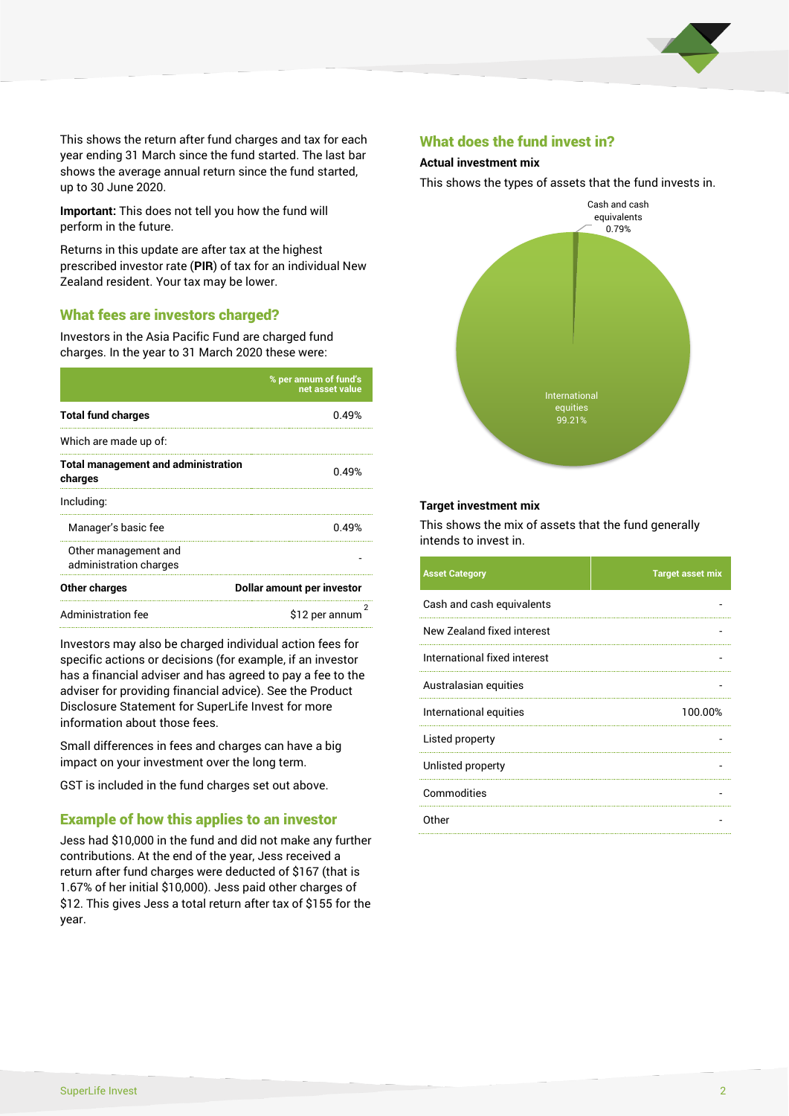

This shows the return after fund charges and tax for each year ending 31 March since the fund started. The last bar shows the average annual return since the fund started, up to 30 June 2020.

**Important:** This does not tell you how the fund will perform in the future.

Returns in this update are after tax at the highest prescribed investor rate (**PIR**) of tax for an individual New Zealand resident. Your tax may be lower.

# What fees are investors charged?

Investors in the Asia Pacific Fund are charged fund charges. In the year to 31 March 2020 these were:

|                                                       | % per annum of fund's<br>net asset value |  |
|-------------------------------------------------------|------------------------------------------|--|
| <b>Total fund charges</b>                             | በ 49%                                    |  |
| Which are made up of:                                 |                                          |  |
| <b>Total management and administration</b><br>charges | 0.49%                                    |  |
| Including:                                            |                                          |  |
| Manager's basic fee                                   | 0.49%                                    |  |
| Other management and<br>administration charges        |                                          |  |
| Other charges                                         | Dollar amount per investor               |  |
| Administration fee                                    | \$12 per annum                           |  |

Investors may also be charged individual action fees for specific actions or decisions (for example, if an investor has a financial adviser and has agreed to pay a fee to the adviser for providing financial advice). See the Product Disclosure Statement for SuperLife Invest for more information about those fees.

Small differences in fees and charges can have a big impact on your investment over the long term.

GST is included in the fund charges set out above.

# Example of how this applies to an investor

Jess had \$10,000 in the fund and did not make any further contributions. At the end of the year, Jess received a return after fund charges were deducted of \$167 (that is 1.67% of her initial \$10,000). Jess paid other charges of \$12. This gives Jess a total return after tax of \$155 for the year.

## What does the fund invest in?

#### **Actual investment mix**

This shows the types of assets that the fund invests in.



#### **Target investment mix**

This shows the mix of assets that the fund generally intends to invest in.

| <b>Asset Category</b>        | <b>Target asset mix</b> |
|------------------------------|-------------------------|
| Cash and cash equivalents    |                         |
| New Zealand fixed interest   |                         |
| International fixed interest |                         |
| Australasian equities        |                         |
| International equities       | 100.00%                 |
| Listed property              |                         |
| Unlisted property            |                         |
| Commodities                  |                         |
| Other                        |                         |